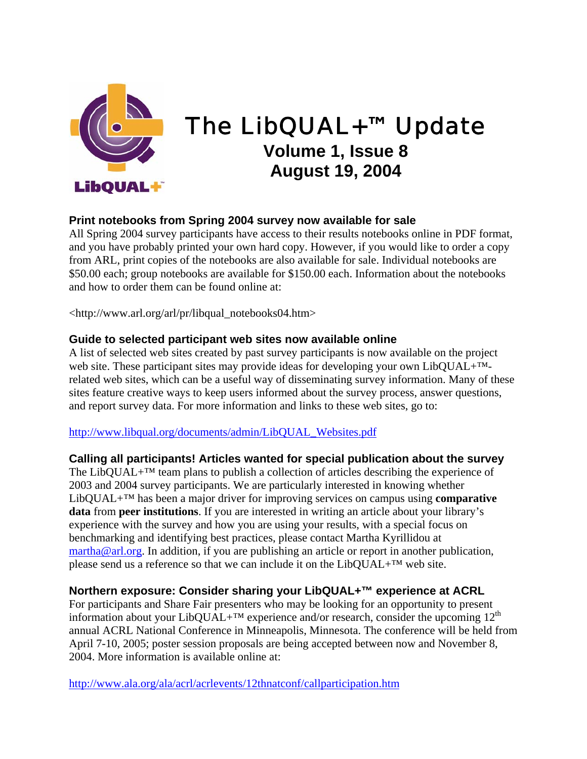

# The LibQUAL+™ Update **Volume 1, Issue 8 August 19, 2004**

## **Print notebooks from Spring 2004 survey now available for sale**

All Spring 2004 survey participants have access to their results notebooks online in PDF format, and you have probably printed your own hard copy. However, if you would like to order a copy from ARL, print copies of the notebooks are also available for sale. Individual notebooks are \$50.00 each; group notebooks are available for \$150.00 each. Information about the notebooks and how to order them can be found online at:

<http://www.arl.org/arl/pr/libqual\_notebooks04.htm>

#### **Guide to selected participant web sites now available online**

A list of selected web sites created by past survey participants is now available on the project web site. These participant sites may provide ideas for developing your own LibQUAL+™ related web sites, which can be a useful way of disseminating survey information. Many of these sites feature creative ways to keep users informed about the survey process, answer questions, and report survey data. For more information and links to these web sites, go to:

#### http://www.libqual.org/documents/admin/LibQUAL\_Websites.pdf

**Calling all participants! Articles wanted for special publication about the survey**  The LibQUAL+ $^{TM}$  team plans to publish a collection of articles describing the experience of 2003 and 2004 survey participants. We are particularly interested in knowing whether LibQUAL+™ has been a major driver for improving services on campus using **comparative data** from **peer institutions**. If you are interested in writing an article about your library's experience with the survey and how you are using your results, with a special focus on benchmarking and identifying best practices, please contact Martha Kyrillidou at martha@arl.org. In addition, if you are publishing an article or report in another publication, please send us a reference so that we can include it on the LibQUAL+™ web site.

### **Northern exposure: Consider sharing your LibQUAL+™ experience at ACRL**

For participants and Share Fair presenters who may be looking for an opportunity to present information about your LibQUAL+<sup>™</sup> experience and/or research, consider the upcoming  $12<sup>th</sup>$ annual ACRL National Conference in Minneapolis, Minnesota. The conference will be held from April 7-10, 2005; poster session proposals are being accepted between now and November 8, 2004. More information is available online at:

http://www.ala.org/ala/acrl/acrlevents/12thnatconf/callparticipation.htm